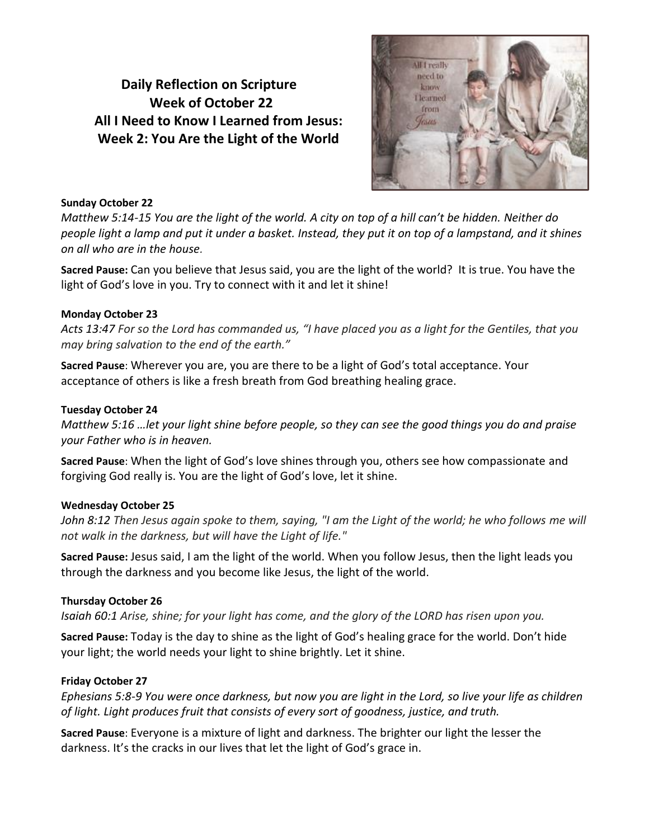# **Daily Reflection on Scripture Week of October 22 All I Need to Know I Learned from Jesus: Week 2: You Are the Light of the World**



#### **Sunday October 22**

*Matthew 5:14-15 You are the light of the world. A city on top of a hill can't be hidden. Neither do people light a lamp and put it under a basket. Instead, they put it on top of a lampstand, and it shines on all who are in the house.*

**Sacred Pause:** Can you believe that Jesus said, you are the light of the world? It is true. You have the light of God's love in you. Try to connect with it and let it shine!

## **Monday October 23**

*Acts 13:47 For so the Lord has commanded us, "I have placed you as a light for the Gentiles, that you may bring salvation to the end of the earth."*

**Sacred Pause**: Wherever you are, you are there to be a light of God's total acceptance. Your acceptance of others is like a fresh breath from God breathing healing grace.

### **Tuesday October 24**

*Matthew 5:16 …let your light shine before people, so they can see the good things you do and praise your Father who is in heaven.*

**Sacred Pause**: When the light of God's love shines through you, others see how compassionate and forgiving God really is. You are the light of God's love, let it shine.

## **Wednesday October 25**

*John 8:12 Then Jesus again spoke to them, saying, "I am the Light of the world; he who follows me will not walk in the darkness, but will have the Light of life."*

**Sacred Pause:** Jesus said, I am the light of the world. When you follow Jesus, then the light leads you through the darkness and you become like Jesus, the light of the world.

## **Thursday October 26**

*Isaiah 60:1 Arise, shine; for your light has come, and the glory of the LORD has risen upon you.*

**Sacred Pause:** Today is the day to shine as the light of God's healing grace for the world. Don't hide your light; the world needs your light to shine brightly. Let it shine.

## **Friday October 27**

*Ephesians 5:8-9 You were once darkness, but now you are light in the Lord, so live your life as children of light. Light produces fruit that consists of every sort of goodness, justice, and truth.*

**Sacred Pause**: Everyone is a mixture of light and darkness. The brighter our light the lesser the darkness. It's the cracks in our lives that let the light of God's grace in.